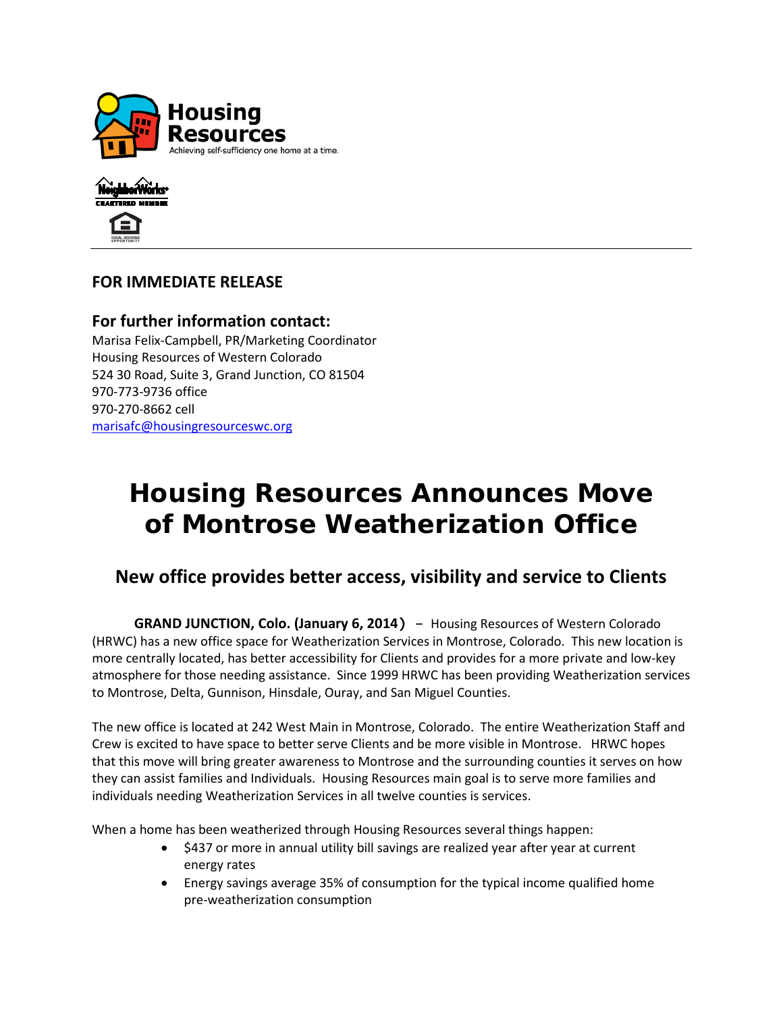



### **FOR IMMEDIATE RELEASE**

**For further information contact:** Marisa Felix-Campbell, PR/Marketing Coordinator Housing Resources of Western Colorado 524 30 Road, Suite 3, Grand Junction, CO 81504 970-773-9736 office 970-270-8662 cell [marisafc@housingresourceswc.org](mailto:eldonk@housingresourceswc.org)

# **Housing Resources Announces Move of Montrose Weatherization Office**

## **New office provides better access, visibility and service to Clients**

 **GRAND JUNCTION, Colo. (January 6, 2014)** – Housing Resources of Western Colorado (HRWC) has a new office space for Weatherization Services in Montrose, Colorado. This new location is more centrally located, has better accessibility for Clients and provides for a more private and low-key atmosphere for those needing assistance. Since 1999 HRWC has been providing Weatherization services to Montrose, Delta, Gunnison, Hinsdale, Ouray, and San Miguel Counties.

The new office is located at 242 West Main in Montrose, Colorado. The entire Weatherization Staff and Crew is excited to have space to better serve Clients and be more visible in Montrose. HRWC hopes that this move will bring greater awareness to Montrose and the surrounding counties it serves on how they can assist families and Individuals. Housing Resources main goal is to serve more families and individuals needing Weatherization Services in all twelve counties is services.

When a home has been weatherized through Housing Resources several things happen:

- \$437 or more in annual utility bill savings are realized year after year at current energy rates
- Energy savings average 35% of consumption for the typical income qualified home pre-weatherization consumption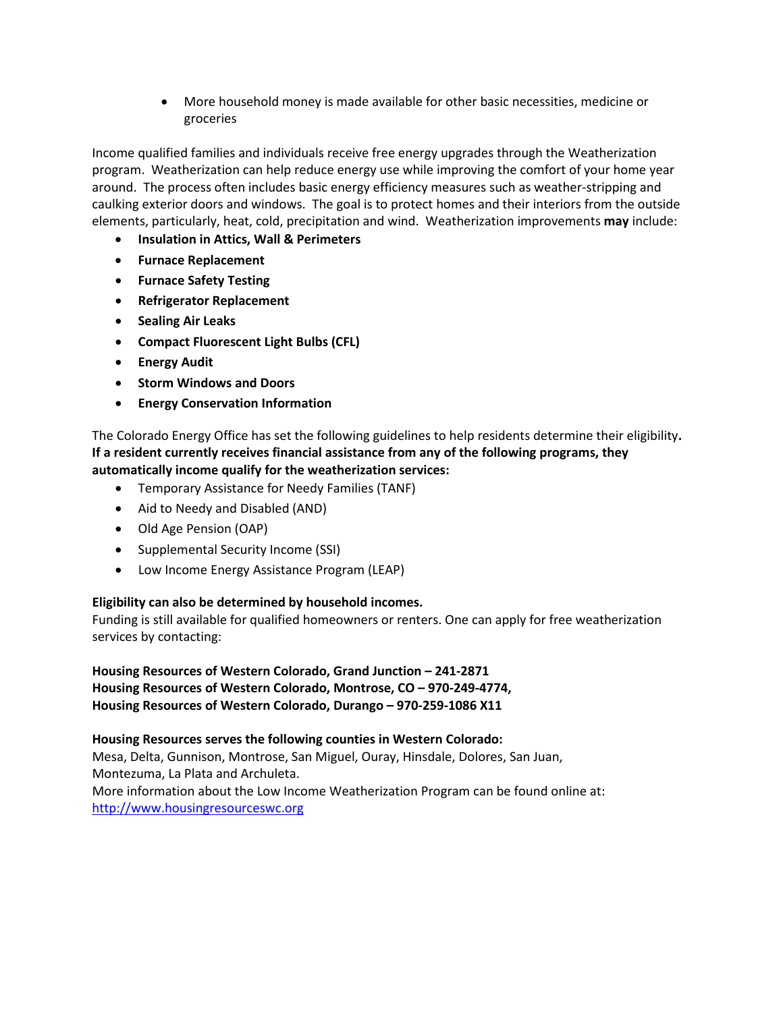• More household money is made available for other basic necessities, medicine or groceries

Income qualified families and individuals receive free energy upgrades through the Weatherization program. Weatherization can help reduce energy use while improving the comfort of your home year around. The process often includes basic energy efficiency measures such as weather-stripping and caulking exterior doors and windows. The goal is to protect homes and their interiors from the outside elements, particularly, heat, cold, precipitation and wind. Weatherization improvements **may** include:

- **Insulation in Attics, Wall & Perimeters**
- **Furnace Replacement**
- **Furnace Safety Testing**
- **Refrigerator Replacement**
- **Sealing Air Leaks**
- **Compact Fluorescent Light Bulbs (CFL)**
- **Energy Audit**
- **Storm Windows and Doors**
- **Energy Conservation Information**

The Colorado Energy Office has set the following guidelines to help residents determine their eligibility**. If a resident currently receives financial assistance from any of the following programs, they automatically income qualify for the weatherization services:**

- Temporary Assistance for Needy Families (TANF)
- Aid to Needy and Disabled (AND)
- Old Age Pension (OAP)
- Supplemental Security Income (SSI)
- Low Income Energy Assistance Program (LEAP)

### **Eligibility can also be determined by household incomes.**

Funding is still available for qualified homeowners or renters. One can apply for free weatherization services by contacting:

**Housing Resources of Western Colorado, Grand Junction – 241-2871 Housing Resources of Western Colorado, Montrose, CO – 970-249-4774, Housing Resources of Western Colorado, Durango – 970-259-1086 X11**

**Housing Resources serves the following counties in Western Colorado:**  Mesa, Delta, Gunnison, Montrose, San Miguel, Ouray, Hinsdale, Dolores, San Juan, Montezuma, La Plata and Archuleta. More information about the Low Income Weatherization Program can be found online at: [http://www.housingresourceswc.org](http://www.housingresourceswc.org/)